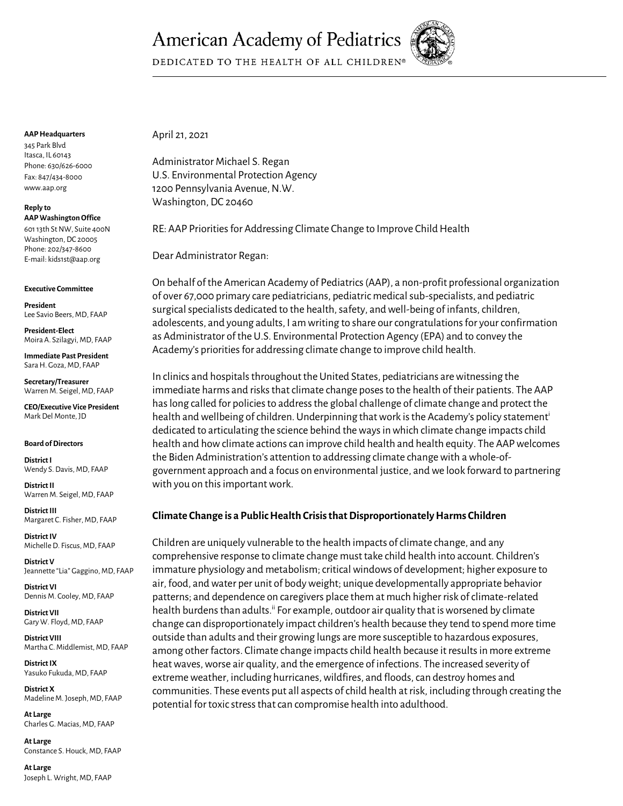# **American Academy of Pediatrics**



DEDICATED TO THE HEALTH OF ALL CHILDREN®

#### **AAP Headquarters**

345 Park Blvd Itasca, IL 60143 Phone: 630/626-6000 Fax: 847/434-8000 www.aap.org

#### **Reply to AAP Washington Office**

601 13th St NW, Suite 400N Washington, DC 20005 Phone: 202/347-8600 E-mail: kids1st@aap.org

#### **Executive Committee**

**President**  Lee Savio Beers, MD, FAAP

**President-Elect** Moira A. Szilagyi, MD, FAAP

**Immediate Past President** Sara H. Goza, MD, FAAP

**Secretary/Treasurer** Warren M. Seigel, MD, FAAP

**CEO/Executive Vice President** Mark Del Monte, JD

#### **Board of Directors**

**District I** Wendy S. Davis, MD, FAAP

**District II** Warren M. Seigel, MD, FAAP

**District III** Margaret C. Fisher, MD, FAAP

**District IV**  Michelle D. Fiscus, MD, FAAP

**District V** Jeannette "Lia" Gaggino, MD, FAAP

**District VI** Dennis M. Cooley, MD, FAAP

**District VII** Gary W. Floyd, MD, FAAP

**District VIII** Martha C. Middlemist, MD, FAAP

**District IX** Yasuko Fukuda, MD, FAAP

**District X** Madeline M. Joseph, MD, FAAP

**At Large** Charles G. Macias, MD, FAAP

**At Large** Constance S. Houck, MD, FAAP

**At Large**  Joseph L. Wright, MD, FAAP April 21, 2021

Administrator Michael S. Regan U.S. Environmental Protection Agency 1200 Pennsylvania Avenue, N.W. Washington, DC 20460

RE: AAP Priorities for Addressing Climate Change to Improve Child Health

Dear Administrator Regan:

On behalf of the American Academy of Pediatrics (AAP), a non-profit professional organization of over 67,000 primary care pediatricians, pediatric medical sub-specialists, and pediatric surgical specialists dedicated to the health, safety, and well-being of infants, children, adolescents, and young adults, I am writing to share our congratulations for your confirmation as Administrator of the U.S. Environmental Protection Agency (EPA) and to convey the Academy's priorities for addressing climate change to improve child health.

In clinics and hospitals throughout the United States, pediatricians are witnessing the immediate harms and risks that climate change poses to the health of their patients. The AAP has long called for policies to address the global challenge of climate change and protect the health and wellbeing of children. Underpinning that work is the Academy's policy statement<sup>i</sup> dedicated to articulating the science behind the ways in which climate change impacts child health and how climate actions can improve child health and health equity. The AAP welcomes the Biden Administration's attention to addressing climate change with a whole-ofgovernment approach and a focus on environmental justice, and we look forward to partnering with you on this important work.

## **Climate Change is a Public Health Crisis that Disproportionately Harms Children**

Children are uniquely vulnerable to the health impacts of climate change, and any comprehensive response to climate change must take child health into account. Children's immature physiology and metabolism; critical windows of development; higher exposure to air, food, and water per unit of body weight; unique developmentally appropriate behavior patterns; and dependence on caregivers place them at much higher risk of climate-related health burdens than adults.<sup>ii</sup> For example, outdoor air quality that is worsened by climate change can disproportionately impact children's health because they tend to spend more time outside than adults and their growing lungs are more susceptible to hazardous exposures, among other factors. Climate change impacts child health because it results in more extreme heat waves, worse air quality, and the emergence of infections. The increased severity of extreme weather, including hurricanes, wildfires, and floods, can destroy homes and communities. These events put all aspects of child health at risk, including through creating the potential for toxic stress that can compromise health into adulthood.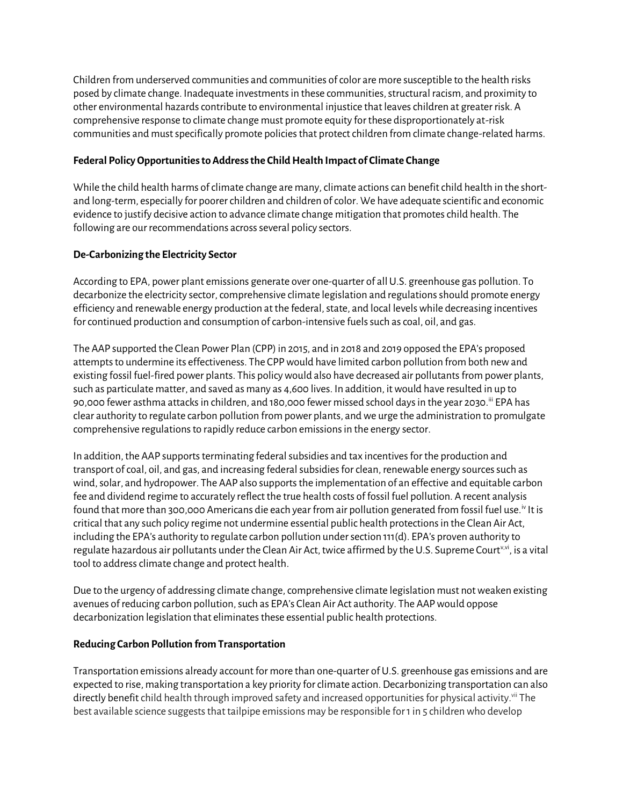Children from underserved communities and communities of color are more susceptible to the health risks posed by climate change. Inadequate investments in these communities, structural racism, and proximity to other environmental hazards contribute to environmental injustice that leaves children at greater risk. A comprehensive response to climate change must promote equity for these disproportionately at-risk communities and must specifically promote policies that protect children from climate change-related harms.

## **Federal Policy Opportunities to Address the Child Health Impact of Climate Change**

While the child health harms of climate change are many, climate actions can benefit child health in the shortand long-term, especially for poorer children and children of color. We have adequate scientific and economic evidence to justify decisive action to advance climate change mitigation that promotes child health. The following are our recommendations across several policy sectors.

## **De-Carbonizing the Electricity Sector**

According to EPA, power plant emissions generate over one-quarter of all U.S. greenhouse gas pollution. To decarbonize the electricity sector, comprehensive climate legislation and regulations should promote energy efficiency and renewable energy production at the federal, state, and local levels while decreasing incentives for continued production and consumption of carbon-intensive fuels such as coal, oil, and gas.

The AAP supported the Clean Power Plan (CPP) in 2015, and in 2018 and 2019 opposed the EPA's proposed attempts to undermine its effectiveness. The CPP would have limited carbon pollution from both new and existing fossil fuel-fired power plants. This policy would also have decreased air pollutants from power plants, such as particulate matter, and saved as many as 4,600 lives. In addition, it would have resulted in up to 90,000 fewer asthma attacks in children, and 180,000 fewer missed school days in the year 2030.iii EPA has clear authority to regulate carbon pollution from power plants, and we urge the administration to promulgate comprehensive regulations to rapidly reduce carbon emissions in the energy sector.

In addition, the AAP supports terminating federal subsidies and tax incentives for the production and transport of coal, oil, and gas, and increasing federal subsidies for clean, renewable energy sources such as wind, solar, and hydropower. The AAP also supports the implementation of an effective and equitable carbon fee and dividend regime to accurately reflect the true health costs of fossil fuel pollution. A recent analysis found that more than 300,000 Americans die each year from air pollution generated from fossil fuel use.<sup>iv</sup> It is critical that any such policy regime not undermine essential public health protections in the Clean Air Act, including the EPA's authority to regulate carbon pollution under section 111(d). EPA's proven authority to regulate hazardous air pollutants under the Clean Air Act, twice affirmed by the U.S. Supreme Court<sup>y, vi</sup>, is a vital tool to address climate change and protect health.

Due to the urgency of addressing climate change, comprehensive climate legislation must not weaken existing avenues of reducing carbon pollution, such as EPA's Clean Air Act authority. The AAP would oppose decarbonization legislation that eliminates these essential public health protections.

### **Reducing Carbon Pollution from Transportation**

Transportation emissions already account for more than one-quarter of U.S. greenhouse gas emissions and are expected to rise, making transportation a key priority for climate action. Decarbonizing transportation can also directly benefit child health through improved safety and increased opportunities for physical activity. vii The best available science suggests that tailpipe emissions may be responsible for 1 in 5 children who develop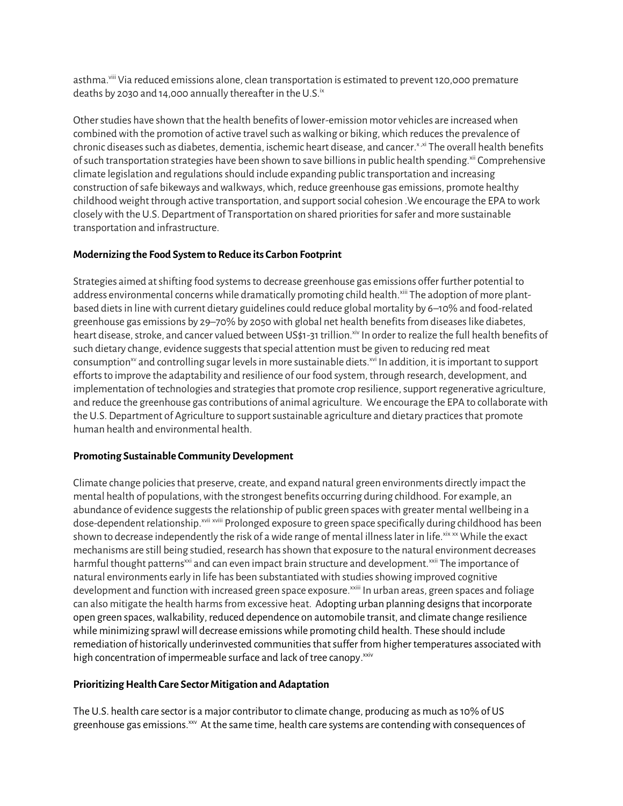asthma.viii Via reduced emissions alone, clean transportation is estimated to prevent 120,000 premature deaths by 2030 and 14,000 annually thereafter in the U.S. $i<sup>x</sup>$ 

Other studies have shown that the health benefits of lower-emission motor vehicles are increased when combined with the promotion of active travel such as walking or biking, which reduces the prevalence of chronic diseases such as diabetes, dementia, ischemic heart disease, and cancer.x,xi The overall health benefits of such transportation strategies have been shown to save billions in public health spending.<sup>xii</sup> Comprehensive climate legislation and regulationsshould include expanding public transportation and increasing construction of safe bikeways and walkways, which, reduce greenhouse gas emissions, promote healthy childhood weight through active transportation, and support social cohesion .We encourage the EPA to work closely with the U.S. Department of Transportation on shared priorities for safer and more sustainable transportation and infrastructure.

# **Modernizing the Food System to Reduce its Carbon Footprint**

Strategies aimed at shifting food systems to decrease greenhouse gas emissions offer further potential to address environmental concerns while dramatically promoting child health.<sup>xiii</sup> The adoption of more plantbased diets in line with current dietary guidelines could reduce global mortality by 6–10% and food-related greenhouse gas emissions by 29–70% by 2050 with global net health benefits from diseases like diabetes, heart disease, stroke, and cancer valued between US\$1-31 trillion.<sup>xiv</sup> In order to realize the full health benefits of such dietary change, evidence suggests that special attention must be given to reducing red meat consumption<sup>xv</sup> and controlling sugar levels in more sustainable diets.<sup>xvi</sup> In addition, it is important to support efforts to improve the adaptability and resilience of our food system, through research, development, and implementation of technologies and strategies that promote crop resilience, support regenerative agriculture, and reduce the greenhouse gas contributions of animal agriculture. We encourage the EPA to collaborate with the U.S. Department of Agriculture to support sustainable agriculture and dietary practices that promote human health and environmental health.

# **Promoting Sustainable Community Development**

Climate change policies that preserve, create, and expand natural green environments directly impact the mental health of populations, with the strongest benefits occurring during childhood. For example, an abundance of evidence suggests the relationship of public green spaces with greater mental wellbeing in a dose-dependent relationship.<sup>xvii</sup> xviii Prolonged exposure to green space specifically during childhood has been shown to decrease independently the risk of a wide range of mental illness later in life.  $xix \times w$  While the exact mechanisms are still being studied, research has shown that exposure to the natural environment decreases harmful thought patterns<sup>xxi</sup> and can even impact brain structure and development.<sup>xxii</sup> The importance of natural environments early in life has been substantiated with studies showing improved cognitive development and function with increased green space exposure.<sup>xxiii</sup> In urban areas, green spaces and foliage can also mitigate the health harms from excessive heat. Adopting urban planning designs that incorporate open green spaces, walkability, reduced dependence on automobile transit, and climate change resilience while minimizing sprawl will decrease emissions while promoting child health. These should include remediation of historically underinvested communities that suffer from higher temperatures associated with high concentration of impermeable surface and lack of tree canopy. xxiv

# **Prioritizing Health Care Sector Mitigation and Adaptation**

The U.S. health care sector is a major contributor to climate change, producing as much as 10% of US greenhouse gas emissions.<sup>xxv</sup> At the same time, health care systems are contending with consequences of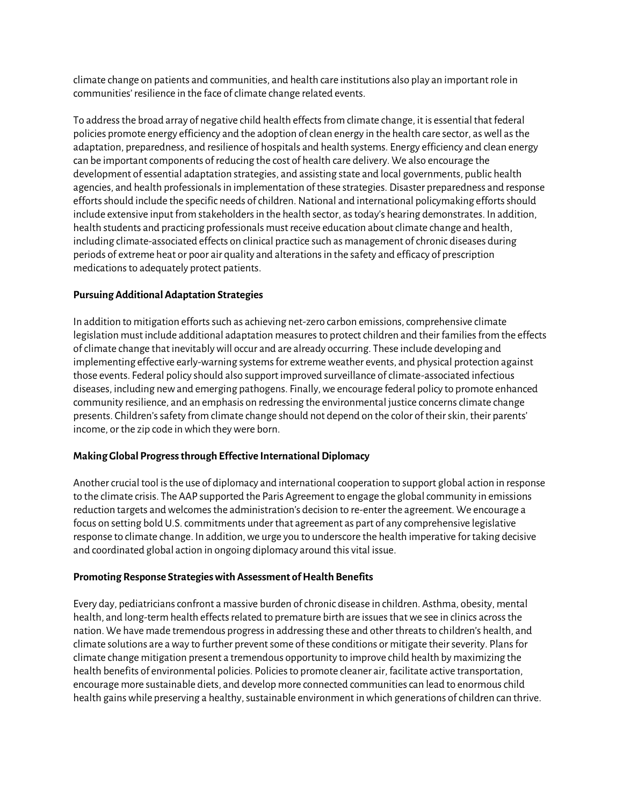climate change on patients and communities, and health care institutions also play an important role in communities' resilience in the face of climate change related events.

To address the broad array of negative child health effects from climate change, it is essential that federal policies promote energy efficiency and the adoption of clean energy in the health care sector, as well as the adaptation, preparedness, and resilience of hospitals and health systems. Energy efficiency and clean energy can be important components of reducing the cost of health care delivery. We also encourage the development of essential adaptation strategies, and assisting state and local governments, public health agencies, and health professionals in implementation of these strategies. Disaster preparedness and response efforts should include the specific needs of children. National and international policymaking efforts should include extensive input from stakeholders in the health sector, as today's hearing demonstrates. In addition, health students and practicing professionals must receive education about climate change and health, including climate-associated effects on clinical practice such as management of chronic diseases during periods of extreme heat or poor air quality and alterations in the safety and efficacy of prescription medications to adequately protect patients.

## **Pursuing Additional Adaptation Strategies**

In addition to mitigation efforts such as achieving net-zero carbon emissions, comprehensive climate legislation must include additional adaptation measures to protect children and their families from the effects of climate change that inevitably will occur and are already occurring. These include developing and implementing effective early-warning systems for extreme weather events, and physical protection against those events. Federal policy should also support improved surveillance of climate-associated infectious diseases, including new and emerging pathogens. Finally, we encourage federal policy to promote enhanced community resilience, and an emphasis on redressing the environmental justice concerns climate change presents. Children's safety from climate change should not depend on the color of their skin, their parents' income, or the zip code in which they were born.

### **Making Global Progress through Effective International Diplomacy**

Another crucial tool is the use of diplomacy and international cooperation to support global action in response to the climate crisis. The AAP supported the Paris Agreement to engage the global community in emissions reduction targets and welcomes the administration's decision to re-enter the agreement. We encourage a focus on setting bold U.S. commitments under that agreement as part of any comprehensive legislative response to climate change. In addition, we urge you to underscore the health imperative for taking decisive and coordinated global action in ongoing diplomacy around this vital issue.

### **Promoting Response Strategies with Assessment of Health Benefits**

Every day, pediatricians confront a massive burden of chronic disease in children. Asthma, obesity, mental health, and long-term health effects related to premature birth are issues that we see in clinics across the nation. We have made tremendous progress in addressing these and other threats to children's health, and climate solutions are a way to further prevent some of these conditions or mitigate their severity. Plans for climate change mitigation present a tremendous opportunity to improve child health by maximizing the health benefits of environmental policies. Policies to promote cleaner air, facilitate active transportation, encourage more sustainable diets, and develop more connected communities can lead to enormous child health gains while preserving a healthy, sustainable environment in which generations of children can thrive.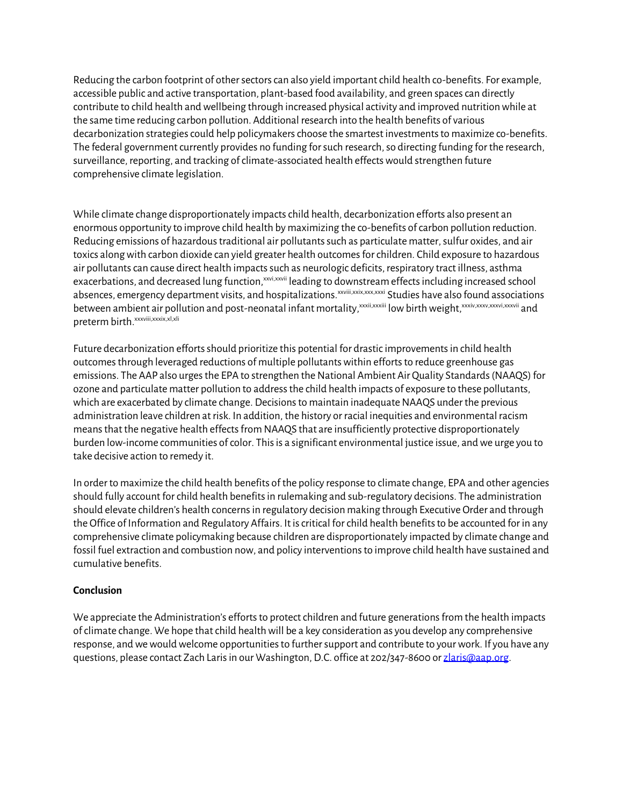Reducing the carbon footprint of other sectors can also yield important child health co-benefits. For example, accessible public and active transportation, plant-based food availability, and green spaces can directly contribute to child health and wellbeing through increased physical activity and improved nutrition while at the same time reducing carbon pollution. Additional research into the health benefits of various decarbonization strategies could help policymakers choose the smartest investments to maximize co-benefits. The federal government currently provides no funding for such research, so directing funding for the research, surveillance, reporting, and tracking of climate-associated health effects would strengthen future comprehensive climate legislation.

While climate change disproportionately impacts child health, decarbonization efforts also present an enormous opportunity to improve child health by maximizing the co-benefits of carbon pollution reduction. Reducing emissions of hazardous traditional air pollutants such as particulate matter, sulfur oxides, and air toxics along with carbon dioxide can yield greater health outcomes for children. Child exposure to hazardous air pollutants can cause direct health impacts such as neurologic deficits, respiratory tract illness, asthma exacerbations, and decreased lung function, xxvi,xxvii leading to downstream effects including increased school absences, emergency department visits, and hospitalizations.<sup>xxviii,xxix,xxx,xxxi</sup> Studies have also found associations between ambient air pollution and post-neonatal infant mortality, xxxii,xxxiii low birth weight, xxxiv,xxxvi,xxxvi,xxxvii and preterm birth. xxxviii, xxxix, xl, xli

Future decarbonization efforts should prioritize this potential for drastic improvements in child health outcomes through leveraged reductions of multiple pollutants within efforts to reduce greenhouse gas emissions. The AAP also urges the EPA to strengthen the National Ambient Air Quality Standards (NAAQS) for ozone and particulate matter pollution to addressthe child health impacts of exposure to these pollutants, which are exacerbated by climate change. Decisions to maintain inadequate NAAQS under the previous administration leave children at risk. In addition, the history or racial inequities and environmental racism means that the negative health effects from NAAQS that are insufficiently protective disproportionately burden low-income communities of color. This is a significant environmental justice issue, and we urge you to take decisive action to remedy it.

In order to maximize the child health benefits of the policy response to climate change, EPA and other agencies should fully account for child health benefits in rulemaking and sub-regulatory decisions. The administration should elevate children's health concerns in regulatory decision making through Executive Order and through the Office of Information and Regulatory Affairs. It is critical for child health benefits to be accounted for in any comprehensive climate policymaking because children are disproportionately impacted by climate change and fossil fuel extraction and combustion now, and policy interventions to improve child health have sustained and cumulative benefits.

### **Conclusion**

We appreciate the Administration's efforts to protect children and future generations from the health impacts of climate change. We hope that child health will be a key consideration as you develop any comprehensive response, and we would welcome opportunities to further support and contribute to your work. If you have any questions, please contact Zach Laris in our Washington, D.C. office at 202/347-8600 o[r zlaris@aap.org.](mailto:zlaris@aap.org)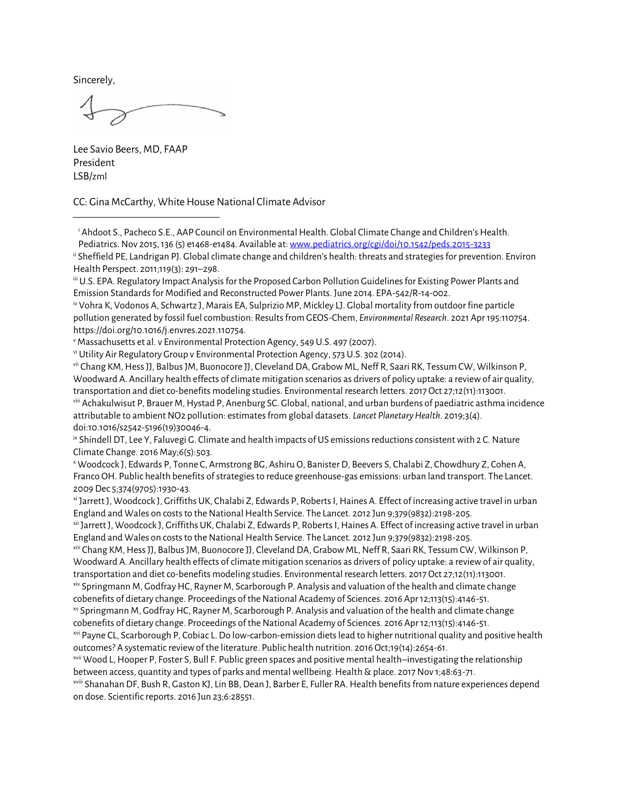Sincerely,

Lee Savio Beers, MD, FAAP President LSB/zml

CC: Gina McCarthy, White House National Climate Advisor

iii U.S. EPA. Regulatory Impact Analysis for the Proposed Carbon Pollution Guidelines for Existing Power Plants and Emission Standards for Modified and Reconstructed Power Plants. June 2014. EPA-542/R-14-002.

iv Vohra K, Vodonos A, Schwartz J, Marais EA, Sulprizio MP, Mickley LJ. Global mortality from outdoor fine particle pollution generated by fossil fuel combustion: Results from GEOS-Chem, *Environmental Research*. 2021 Apr 195:110754. https://doi.org/10.1016/j.envres.2021.110754.

<sup>v</sup> Massachusetts et al. v Environmental Protection Agency, 549 U.S. 497 (2007).

vi Utility Air Regulatory Group v Environmental Protection Agency, 573 U.S. 302 (2014).

vii Chang KM, Hess JJ, Balbus JM, Buonocore JJ, Cleveland DA, Grabow ML, Neff R, Saari RK, Tessum CW, Wilkinson P, Woodward A. Ancillary health effects of climate mitigation scenarios as drivers of policy uptake: a review of air quality, transportation and diet co-benefits modeling studies. Environmental research letters. 2017 Oct 27;12(11):113001.

viii Achakulwisut P, Brauer M, Hystad P, Anenburg SC. Global, national, and urban burdens of paediatric asthma incidence attributable to ambient NO2 pollution: estimates from global datasets. *Lancet Planetary Health*. 2019;3(4). doi:10.1016/s2542-5196(19)30046-4.

ix Shindell DT, Lee Y, Faluvegi G. Climate and health impacts of US emissions reductions consistent with 2 C. Nature Climate Change. 2016 May;6(5):503.

<sup>x</sup> Woodcock J, Edwards P, Tonne C, Armstrong BG, Ashiru O, Banister D, Beevers S, Chalabi Z, Chowdhury Z, Cohen A, Franco OH. Public health benefits of strategies to reduce greenhouse-gas emissions: urban land transport. The Lancet. 2009 Dec 5;374(9705):1930-43.

xi Jarrett J, Woodcock J, Griffiths UK, Chalabi Z, Edwards P, Roberts I, Haines A. Effect of increasing active travel in urban England and Wales on costs to the National Health Service. The Lancet. 2012 Jun 9;379(9832):2198-205.

xii Jarrett J, Woodcock J, Griffiths UK, Chalabi Z, Edwards P, Roberts I, Haines A. Effect of increasing active travel in urban England and Wales on costs to the National Health Service. The Lancet. 2012 Jun 9;379(9832):2198-205.

xiii Chang KM, Hess JJ, Balbus JM, Buonocore JJ, Cleveland DA, Grabow ML, Neff R, Saari RK, Tessum CW, Wilkinson P, Woodward A. Ancillary health effects of climate mitigation scenarios as drivers of policy uptake: a review of air quality, transportation and diet co-benefits modeling studies. Environmental research letters. 2017 Oct 27;12(11):113001.

xiv Springmann M, Godfray HC, Rayner M, Scarborough P. Analysis and valuation of the health and climate change cobenefits of dietary change. Proceedings of the National Academy of Sciences. 2016 Apr 12;113(15):4146-51.

xv Springmann M, Godfray HC, Rayner M, Scarborough P. Analysis and valuation of the health and climate change cobenefits of dietary change. Proceedings of the National Academy of Sciences. 2016 Apr 12;113(15):4146-51.

xvi Payne CL, Scarborough P, Cobiac L. Do low-carbon-emission diets lead to higher nutritional quality and positive health outcomes? A systematic review of the literature. Public health nutrition. 2016 Oct;19(14):2654-61.

xvii Wood L, Hooper P, Foster S, Bull F. Public green spaces and positive mental health–investigating the relationship between access, quantity and types of parks and mental wellbeing. Health & place. 2017 Nov 1;48:63-71.

xviii Shanahan DF, Bush R, Gaston KJ, Lin BB, Dean J, Barber E, Fuller RA. Health benefits from nature experiences depend on dose. Scientific reports. 2016 Jun 23;6:28551.

<sup>i</sup> Ahdoot S., Pacheco S.E., AAP Council on Environmental Health. Global Climate Change and Children's Health. Pediatrics. Nov 2015, 136 (5) e1468-e1484. Available at[: www.pediatrics.org/cgi/doi/10.1542/peds.2015-3233](file:///C:/Users/zlaris/AppData/Local/Microsoft/Windows/INetCache/Content.Outlook/1ZNDALJW/www.pediatrics.org/cgi/doi/10.1542/peds.2015-3233)

ii Sheffield PE, Landrigan PJ. Global climate change and children's health: threats and strategies for prevention. Environ Health Perspect. 2011;119(3): 291–298.